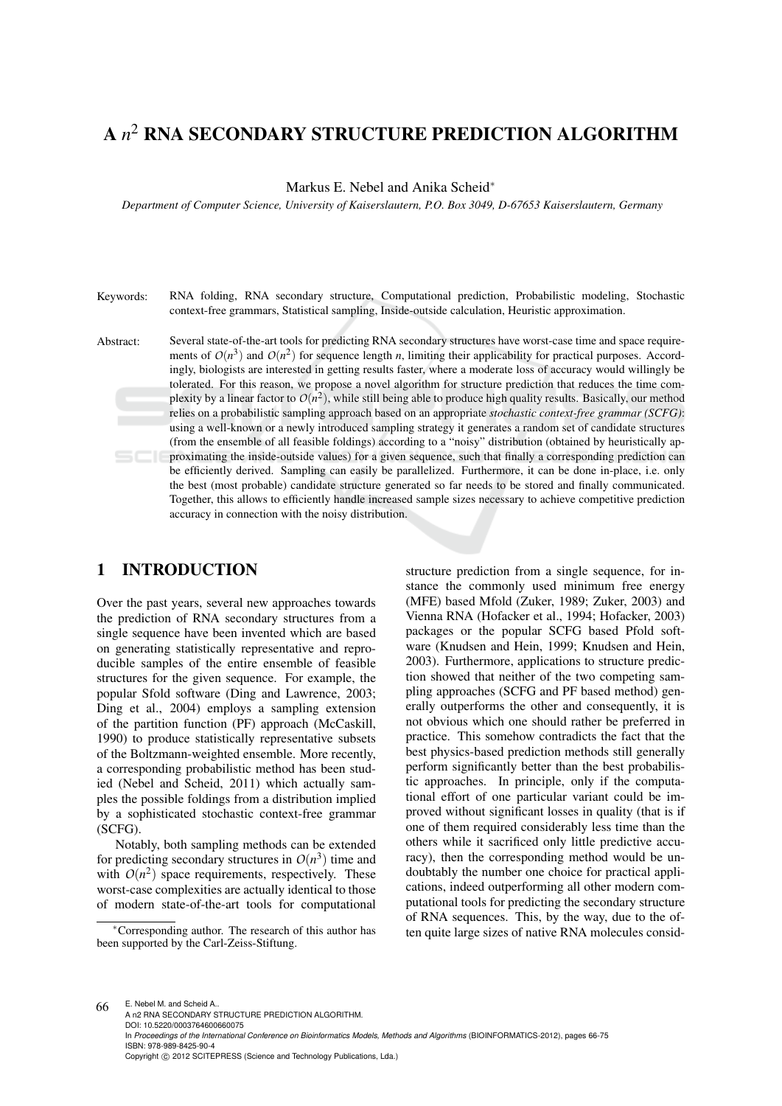# A *n* <sup>2</sup> RNA SECONDARY STRUCTURE PREDICTION ALGORITHM

Markus E. Nebel and Anika Scheid<sup>∗</sup>

*Department of Computer Science, University of Kaiserslautern, P.O. Box 3049, D-67653 Kaiserslautern, Germany*

Keywords: RNA folding, RNA secondary structure, Computational prediction, Probabilistic modeling, Stochastic context-free grammars, Statistical sampling, Inside-outside calculation, Heuristic approximation.

Abstract: Several state-of-the-art tools for predicting RNA secondary structures have worst-case time and space requirements of  $O(n^3)$  and  $O(n^2)$  for sequence length *n*, limiting their applicability for practical purposes. Accordingly, biologists are interested in getting results faster, where a moderate loss of accuracy would willingly be tolerated. For this reason, we propose a novel algorithm for structure prediction that reduces the time complexity by a linear factor to  $O(n^2)$ , while still being able to produce high quality results. Basically, our method relies on a probabilistic sampling approach based on an appropriate *stochastic context-free grammar (SCFG)*: using a well-known or a newly introduced sampling strategy it generates a random set of candidate structures (from the ensemble of all feasible foldings) according to a "noisy" distribution (obtained by heuristically approximating the inside-outside values) for a given sequence, such that finally a corresponding prediction can be efficiently derived. Sampling can easily be parallelized. Furthermore, it can be done in-place, i.e. only the best (most probable) candidate structure generated so far needs to be stored and finally communicated. Together, this allows to efficiently handle increased sample sizes necessary to achieve competitive prediction accuracy in connection with the noisy distribution.

# 1 INTRODUCTION

Over the past years, several new approaches towards the prediction of RNA secondary structures from a single sequence have been invented which are based on generating statistically representative and reproducible samples of the entire ensemble of feasible structures for the given sequence. For example, the popular Sfold software (Ding and Lawrence, 2003; Ding et al., 2004) employs a sampling extension of the partition function (PF) approach (McCaskill, 1990) to produce statistically representative subsets of the Boltzmann-weighted ensemble. More recently, a corresponding probabilistic method has been studied (Nebel and Scheid, 2011) which actually samples the possible foldings from a distribution implied by a sophisticated stochastic context-free grammar (SCFG).

Notably, both sampling methods can be extended for predicting secondary structures in  $O(n^3)$  time and with  $O(n^2)$  space requirements, respectively. These worst-case complexities are actually identical to those of modern state-of-the-art tools for computational

structure prediction from a single sequence, for instance the commonly used minimum free energy (MFE) based Mfold (Zuker, 1989; Zuker, 2003) and Vienna RNA (Hofacker et al., 1994; Hofacker, 2003) packages or the popular SCFG based Pfold software (Knudsen and Hein, 1999; Knudsen and Hein, 2003). Furthermore, applications to structure prediction showed that neither of the two competing sampling approaches (SCFG and PF based method) generally outperforms the other and consequently, it is not obvious which one should rather be preferred in practice. This somehow contradicts the fact that the best physics-based prediction methods still generally perform significantly better than the best probabilistic approaches. In principle, only if the computational effort of one particular variant could be improved without significant losses in quality (that is if one of them required considerably less time than the others while it sacrificed only little predictive accuracy), then the corresponding method would be undoubtably the number one choice for practical applications, indeed outperforming all other modern computational tools for predicting the secondary structure of RNA sequences. This, by the way, due to the often quite large sizes of native RNA molecules consid-

66 E. Nebel M. and Scheid A.. A n2 RNA SECONDARY STRUCTURE PREDICTION ALGORITHM. DOI: 10.5220/0003764600660075 In *Proceedings of the International Conference on Bioinformatics Models, Methods and Algorithms* (BIOINFORMATICS-2012), pages 66-75 ISBN: 978-989-8425-90-4 Copyright © 2012 SCITEPRESS (Science and Technology Publications, Lda.)

<sup>∗</sup>Corresponding author. The research of this author has been supported by the Carl-Zeiss-Stiftung.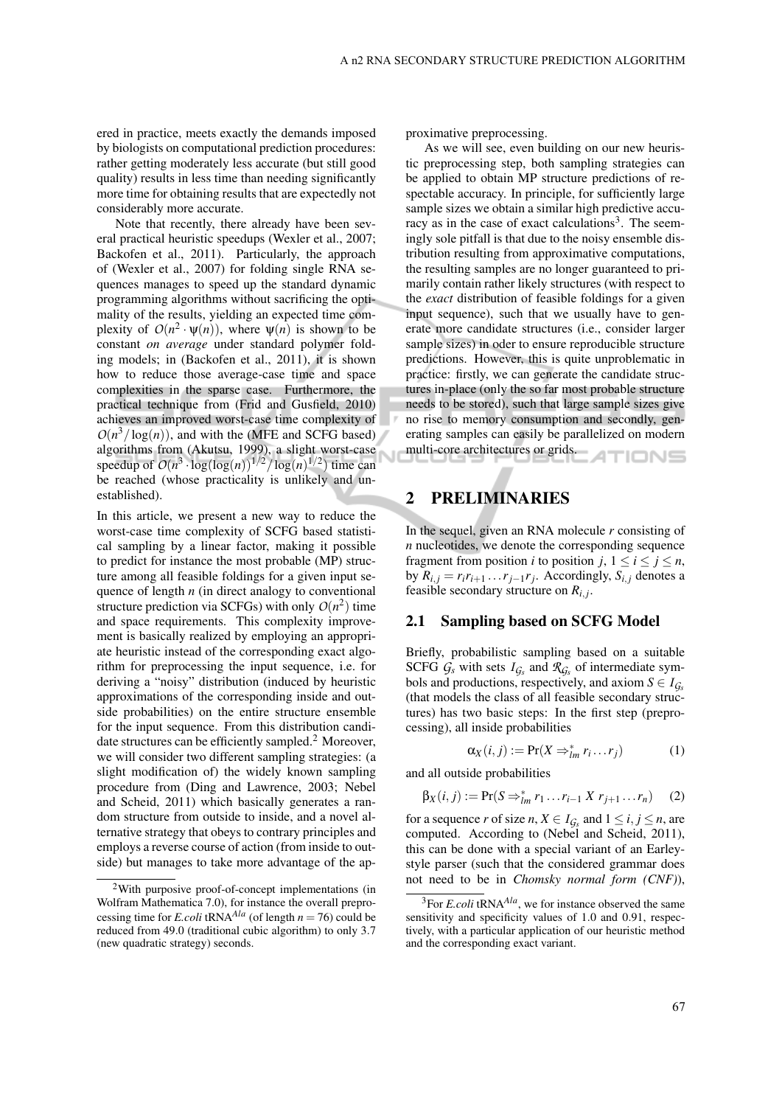ered in practice, meets exactly the demands imposed by biologists on computational prediction procedures: rather getting moderately less accurate (but still good quality) results in less time than needing significantly more time for obtaining results that are expectedly not considerably more accurate.

Note that recently, there already have been several practical heuristic speedups (Wexler et al., 2007; Backofen et al., 2011). Particularly, the approach of (Wexler et al., 2007) for folding single RNA sequences manages to speed up the standard dynamic programming algorithms without sacrificing the optimality of the results, yielding an expected time complexity of  $O(n^2 \cdot \psi(n))$ , where  $\psi(n)$  is shown to be constant *on average* under standard polymer folding models; in (Backofen et al., 2011), it is shown how to reduce those average-case time and space complexities in the sparse case. Furthermore, the practical technique from (Frid and Gusfield, 2010) achieves an improved worst-case time complexity of  $O(n^3/\log(n))$ , and with the (MFE and SCFG based) algorithms from (Akutsu, 1999), a slight worst-case speedup of  $O(n^3 \cdot \log(\log(n))^{1/2}/\log(n)^{1/2})$  time can be reached (whose practicality is unlikely and unestablished).

In this article, we present a new way to reduce the worst-case time complexity of SCFG based statistical sampling by a linear factor, making it possible to predict for instance the most probable (MP) structure among all feasible foldings for a given input sequence of length *n* (in direct analogy to conventional structure prediction via SCFGs) with only  $O(n^2)$  time and space requirements. This complexity improvement is basically realized by employing an appropriate heuristic instead of the corresponding exact algorithm for preprocessing the input sequence, i.e. for deriving a "noisy" distribution (induced by heuristic approximations of the corresponding inside and outside probabilities) on the entire structure ensemble for the input sequence. From this distribution candidate structures can be efficiently sampled.<sup>2</sup> Moreover, we will consider two different sampling strategies: (a slight modification of) the widely known sampling procedure from (Ding and Lawrence, 2003; Nebel and Scheid, 2011) which basically generates a random structure from outside to inside, and a novel alternative strategy that obeys to contrary principles and employs a reverse course of action (from inside to outside) but manages to take more advantage of the approximative preprocessing.

As we will see, even building on our new heuristic preprocessing step, both sampling strategies can be applied to obtain MP structure predictions of respectable accuracy. In principle, for sufficiently large sample sizes we obtain a similar high predictive accuracy as in the case of exact calculations<sup>3</sup>. The seemingly sole pitfall is that due to the noisy ensemble distribution resulting from approximative computations, the resulting samples are no longer guaranteed to primarily contain rather likely structures (with respect to the *exact* distribution of feasible foldings for a given input sequence), such that we usually have to generate more candidate structures (i.e., consider larger sample sizes) in oder to ensure reproducible structure predictions. However, this is quite unproblematic in practice: firstly, we can generate the candidate structures in-place (only the so far most probable structure needs to be stored), such that large sample sizes give no rise to memory consumption and secondly, generating samples can easily be parallelized on modern multi-core architectures or grids. ATIONS

## 2 PRELIMINARIES

In the sequel, given an RNA molecule *r* consisting of *n* nucleotides, we denote the corresponding sequence fragment from position *i* to position *j*,  $1 \le i \le j \le n$ , by  $R_{i,j} = r_i r_{i+1} \dots r_{j-1} r_j$ . Accordingly,  $S_{i,j}$  denotes a feasible secondary structure on  $R_{i,j}$ .

#### 2.1 Sampling based on SCFG Model

Briefly, probabilistic sampling based on a suitable SCFG  $G_s$  with sets  $I_{G_s}$  and  $\mathcal{R}_{G_s}$  of intermediate symbols and productions, respectively, and axiom  $S \in I_{G_s}$ (that models the class of all feasible secondary structures) has two basic steps: In the first step (preprocessing), all inside probabilities

$$
\alpha_X(i,j) := \Pr(X \Rightarrow_{lm}^* r_i \dots r_j)
$$
 (1)

and all outside probabilities

$$
\beta_X(i,j) := \Pr(S \Rightarrow_{lm}^* r_1 \dots r_{i-1} X r_{j+1} \dots r_n)
$$
 (2)

for a sequence *r* of size *n*,  $X \in I_{\mathcal{G}_s}$  and  $1 \le i, j \le n$ , are computed. According to (Nebel and Scheid, 2011), this can be done with a special variant of an Earleystyle parser (such that the considered grammar does not need to be in *Chomsky normal form (CNF)*),

<sup>2</sup>With purposive proof-of-concept implementations (in Wolfram Mathematica 7.0), for instance the overall preprocessing time for *E.coli* tRNA<sup>*Ala*</sup> (of length  $n = 76$ ) could be reduced from 49.0 (traditional cubic algorithm) to only 3.7 (new quadratic strategy) seconds.

<sup>&</sup>lt;sup>3</sup>For *E.coli* tRNA<sup>*Ala*</sup>, we for instance observed the same sensitivity and specificity values of 1.0 and 0.91, respectively, with a particular application of our heuristic method and the corresponding exact variant.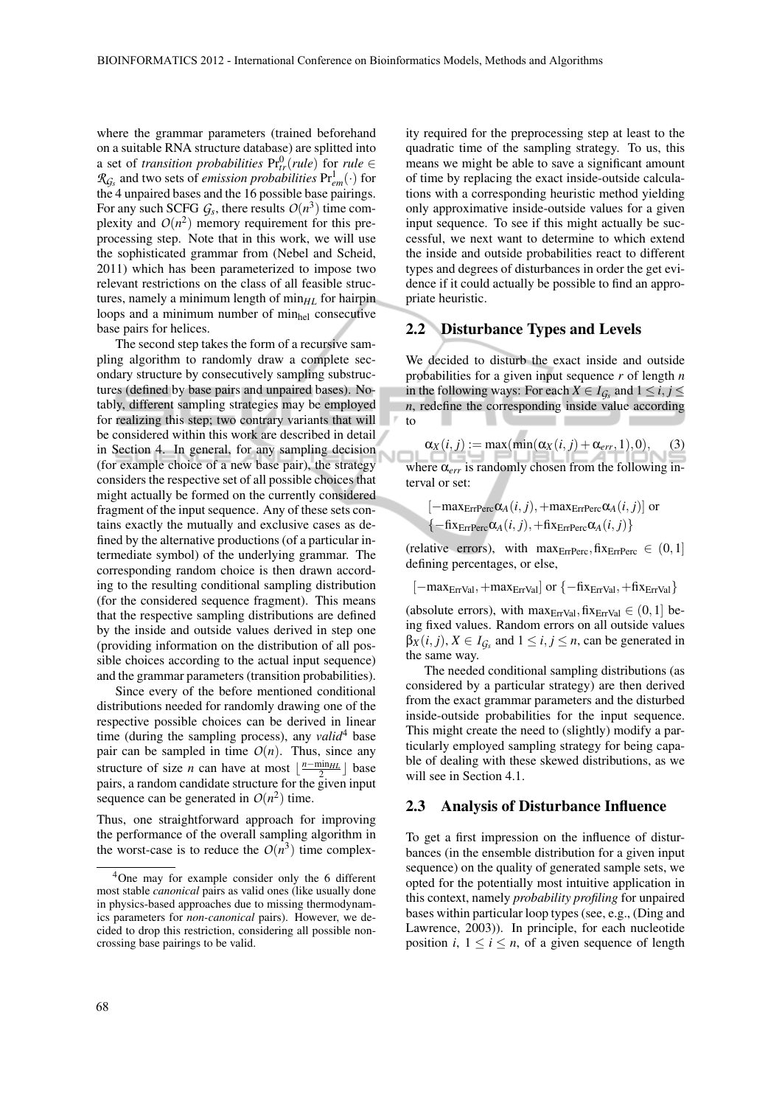where the grammar parameters (trained beforehand on a suitable RNA structure database) are splitted into a set of *transition probabilities*  $Pr_{tr}^{0}(rule)$  for  $rule \in$  $\mathcal{R}_{\mathcal{G}_s}$  and two sets of *emission probabilities*  $Pr_{em}^1(\cdot)$  for the 4 unpaired bases and the 16 possible base pairings. For any such SCFG  $\mathcal{G}_s$ , there results  $O(n^3)$  time complexity and  $O(n^2)$  memory requirement for this preprocessing step. Note that in this work, we will use the sophisticated grammar from (Nebel and Scheid, 2011) which has been parameterized to impose two relevant restrictions on the class of all feasible structures, namely a minimum length of min<sub>HL</sub> for hairpin loops and a minimum number of min<sub>hel</sub> consecutive base pairs for helices.

The second step takes the form of a recursive sampling algorithm to randomly draw a complete secondary structure by consecutively sampling substructures (defined by base pairs and unpaired bases). Notably, different sampling strategies may be employed for realizing this step; two contrary variants that will be considered within this work are described in detail in Section 4. In general, for any sampling decision (for example choice of a new base pair), the strategy considers the respective set of all possible choices that might actually be formed on the currently considered fragment of the input sequence. Any of these sets contains exactly the mutually and exclusive cases as defined by the alternative productions (of a particular intermediate symbol) of the underlying grammar. The corresponding random choice is then drawn according to the resulting conditional sampling distribution (for the considered sequence fragment). This means that the respective sampling distributions are defined by the inside and outside values derived in step one (providing information on the distribution of all possible choices according to the actual input sequence) and the grammar parameters (transition probabilities).

Since every of the before mentioned conditional distributions needed for randomly drawing one of the respective possible choices can be derived in linear time (during the sampling process), any *valid*<sup>4</sup> base pair can be sampled in time  $O(n)$ . Thus, since any structure of size *n* can have at most  $\lfloor \frac{n - \min_{H_L}}{2} \rfloor$  base pairs, a random candidate structure for the given input sequence can be generated in  $O(n^2)$  time.

Thus, one straightforward approach for improving the performance of the overall sampling algorithm in the worst-case is to reduce the  $O(n^3)$  time complexity required for the preprocessing step at least to the quadratic time of the sampling strategy. To us, this means we might be able to save a significant amount of time by replacing the exact inside-outside calculations with a corresponding heuristic method yielding only approximative inside-outside values for a given input sequence. To see if this might actually be successful, we next want to determine to which extend the inside and outside probabilities react to different types and degrees of disturbances in order the get evidence if it could actually be possible to find an appropriate heuristic.

#### 2.2 Disturbance Types and Levels

We decided to disturb the exact inside and outside probabilities for a given input sequence *r* of length *n* in the following ways: For each  $X \in I_{\mathcal{G}_s}$  and  $1 \le i, j \le j$ *n*, redefine the corresponding inside value according to

 $\alpha_X(i, j) := \max(\min(\alpha_X(i, j) + \alpha_{err}, 1), 0),$  (3) where  $\alpha_{err}$  is randomly chosen from the following interval or set:

$$
[-\text{max}_{\text{ErrPerc}} \alpha_A(i, j), +\text{max}_{\text{ErrPerc}} \alpha_A(i, j)] \text{ or } \{-\text{fix}_{\text{ErrPerc}} \alpha_A(i, j), +\text{fix}_{\text{ErrPerc}} \alpha_A(i, j)\}\
$$

(relative errors), with max $_{\text{ErrPerc}}$ , fix $_{\text{ErrPerc}} \in (0,1]$ defining percentages, or else,

 $[-max<sub>ErrVal</sub>,+max<sub>ErrVal</sub>]$  or  $\{-fix<sub>ErrVal</sub>,+fix<sub>ErrVal</sub>\}$ 

(absolute errors), with  $max_{ErrVal}$ ,  $fix_{ErrVal} \in (0,1]$  being fixed values. Random errors on all outside values  $\beta_X(i, j), X \in I_{\mathcal{G}_s}$  and  $1 \le i, j \le n$ , can be generated in the same way.

The needed conditional sampling distributions (as considered by a particular strategy) are then derived from the exact grammar parameters and the disturbed inside-outside probabilities for the input sequence. This might create the need to (slightly) modify a particularly employed sampling strategy for being capable of dealing with these skewed distributions, as we will see in Section 4.1.

#### 2.3 Analysis of Disturbance Influence

To get a first impression on the influence of disturbances (in the ensemble distribution for a given input sequence) on the quality of generated sample sets, we opted for the potentially most intuitive application in this context, namely *probability profiling* for unpaired bases within particular loop types (see, e.g., (Ding and Lawrence, 2003)). In principle, for each nucleotide position *i*,  $1 \le i \le n$ , of a given sequence of length

<sup>&</sup>lt;sup>4</sup>One may for example consider only the 6 different most stable *canonical* pairs as valid ones (like usually done in physics-based approaches due to missing thermodynamics parameters for *non-canonical* pairs). However, we decided to drop this restriction, considering all possible noncrossing base pairings to be valid.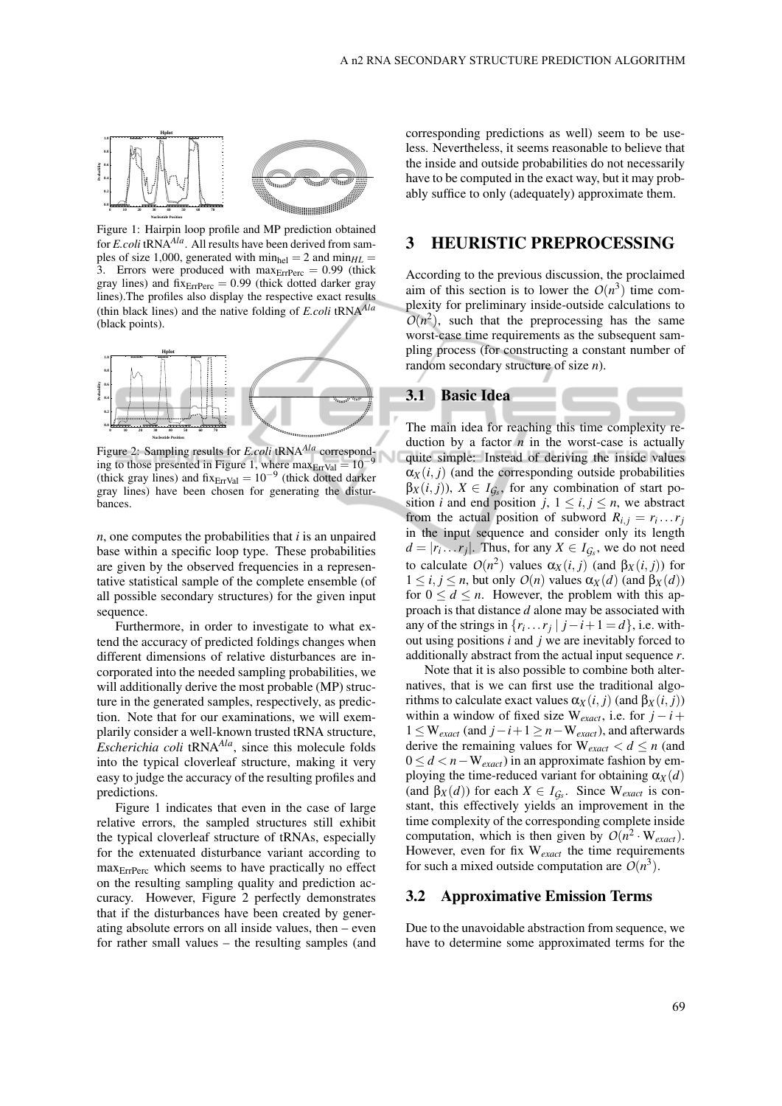

Figure 1: Hairpin loop profile and MP prediction obtained for *E.coli* tRNA*Ala*. All results have been derived from samples of size 1,000, generated with  $\min_{hel}$  = 2 and  $\min_{HL}$  = 3. Errors were produced with  $max_{ErrPerc} = 0.99$  (thick gray lines) and  $fix_{ErrPerc} = 0.99$  (thick dotted darker gray lines).The profiles also display the respective exact results (thin black lines) and the native folding of *E.coli* tRNA*Ala* (black points).



**Nucleotide Position** Figure 2: Sampling results for *E.coli* tRNA*Ala* corresponding to those presented in Figure 1, where  $max_{ErrVal} = 10^{-9}$ (thick gray lines) and fix $_{\text{ErrVal}} = 10^{-9}$  (thick dotted darker gray lines) have been chosen for generating the disturbances.

*n*, one computes the probabilities that *i* is an unpaired base within a specific loop type. These probabilities are given by the observed frequencies in a representative statistical sample of the complete ensemble (of all possible secondary structures) for the given input sequence.

Furthermore, in order to investigate to what extend the accuracy of predicted foldings changes when different dimensions of relative disturbances are incorporated into the needed sampling probabilities, we will additionally derive the most probable (MP) structure in the generated samples, respectively, as prediction. Note that for our examinations, we will exemplarily consider a well-known trusted tRNA structure, *Escherichia coli* tRNA*Ala*, since this molecule folds into the typical cloverleaf structure, making it very easy to judge the accuracy of the resulting profiles and predictions.

Figure 1 indicates that even in the case of large relative errors, the sampled structures still exhibit the typical cloverleaf structure of tRNAs, especially for the extenuated disturbance variant according to maxErrPerc which seems to have practically no effect on the resulting sampling quality and prediction accuracy. However, Figure 2 perfectly demonstrates that if the disturbances have been created by generating absolute errors on all inside values, then – even for rather small values – the resulting samples (and corresponding predictions as well) seem to be useless. Nevertheless, it seems reasonable to believe that the inside and outside probabilities do not necessarily have to be computed in the exact way, but it may probably suffice to only (adequately) approximate them.

# 3 HEURISTIC PREPROCESSING

According to the previous discussion, the proclaimed aim of this section is to lower the  $O(n^3)$  time complexity for preliminary inside-outside calculations to  $O(n^2)$ , such that the preprocessing has the same worst-case time requirements as the subsequent sampling process (for constructing a constant number of random secondary structure of size *n*).



The main idea for reaching this time complexity reduction by a factor  $n$  in the worst-case is actually quite simple: Instead of deriving the inside values  $\alpha_X(i, j)$  (and the corresponding outside probabilities  $\beta_X(i, j)$ ),  $X \in I_{\mathcal{G}_s}$ , for any combination of start position *i* and end position *j*,  $1 \le i, j \le n$ , we abstract from the actual position of subword  $R_{i,j} = r_i \dots r_j$ in the input sequence and consider only its length  $d = |r_i \dots r_j|$ . Thus, for any  $X \in I_{\mathcal{G}_s}$ , we do not need to calculate  $O(n^2)$  values  $\alpha_X(i, j)$  (and  $\beta_X(i, j)$ ) for  $1 \le i, j \le n$ , but only  $O(n)$  values  $\alpha_X(d)$  (and  $\beta_X(d)$ ) for  $0 \le d \le n$ . However, the problem with this approach is that distance *d* alone may be associated with any of the strings in  $\{r_i \dots r_j \mid j - i + 1 = d\}$ , i.e. without using positions *i* and *j* we are inevitably forced to additionally abstract from the actual input sequence *r*.

Note that it is also possible to combine both alternatives, that is we can first use the traditional algorithms to calculate exact values  $\alpha_X(i, j)$  (and  $\beta_X(i, j)$ ) within a window of fixed size  $W_{exact}$ , i.e. for  $j - i +$ 1 ≤ W*exact* (and *j*−*i*+1 ≥ *n*−W*exact*), and afterwards derive the remaining values for  $W_{exact} < d \le n$  (and  $0 \le d < n - W_{exact}$ ) in an approximate fashion by employing the time-reduced variant for obtaining  $\alpha_X(d)$ (and  $\beta_X(d)$ ) for each  $X \in I_{\mathcal{G}_S}$ . Since W<sub>exact</sub> is constant, this effectively yields an improvement in the time complexity of the corresponding complete inside computation, which is then given by  $O(n^2 \cdot W_{exact})$ . However, even for fix W*exact* the time requirements for such a mixed outside computation are  $O(n^3)$ .

#### 3.2 Approximative Emission Terms

Due to the unavoidable abstraction from sequence, we have to determine some approximated terms for the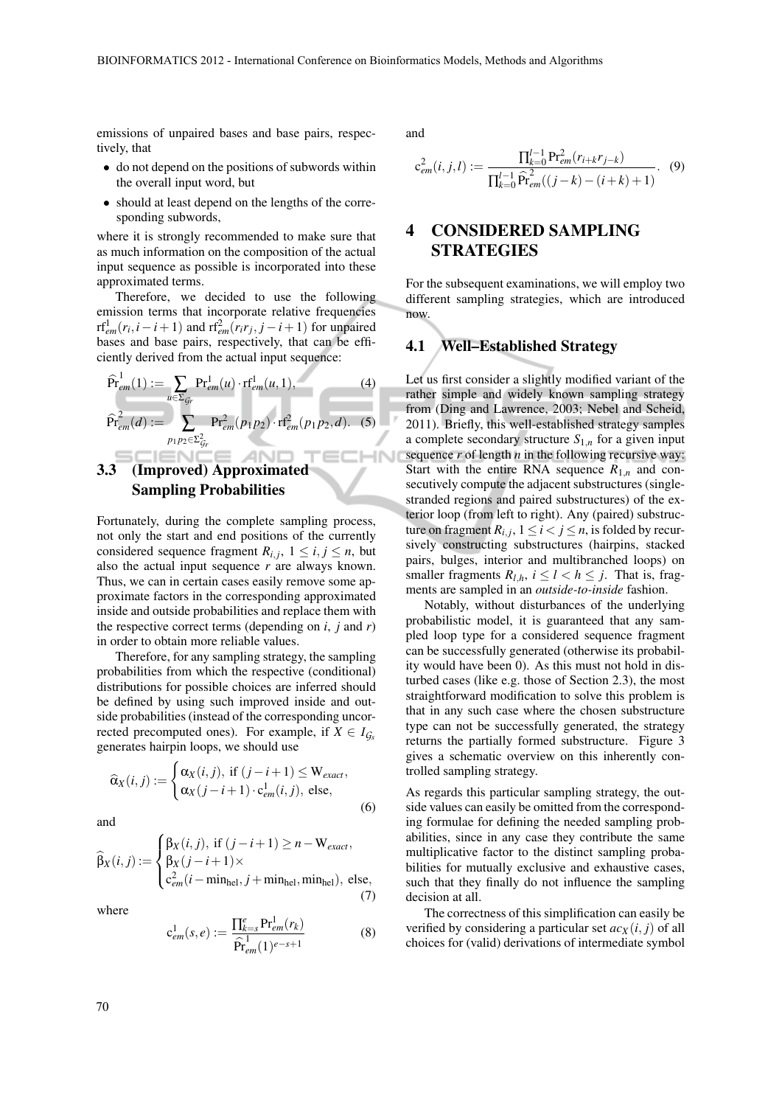emissions of unpaired bases and base pairs, respectively, that

- do not depend on the positions of subwords within the overall input word, but
- should at least depend on the lengths of the corresponding subwords,

where it is strongly recommended to make sure that as much information on the composition of the actual input sequence as possible is incorporated into these approximated terms.

Therefore, we decided to use the following emission terms that incorporate relative frequencies  $\text{erf}_{em}^{1}(r_i, i-i+1)$  and  $\text{erf}_{em}^{2}(r_i r_j, j-i+1)$  for unpaired bases and base pairs, respectively, that can be efficiently derived from the actual input sequence:

$$
\widehat{\Pr}_{em}^{1}(1) := \sum_{u \in \Sigma_{\mathcal{G}_r}} \Pr_{em}^{1}(u) \cdot \mathrm{rf}_{em}^{1}(u, 1),\tag{4}
$$

$$
\widehat{\text{Pr}}_{em}^2(d) := \sum_{p_1 p_2 \in \Sigma_{Gr}^2} \text{Pr}_{em}^2(p_1 p_2) \cdot \text{rf}_{em}^2(p_1 p_2, d). \tag{5}
$$

## SCIENCE *AN*D 3.3 (Improved) Approximated Sampling Probabilities

Fortunately, during the complete sampling process, not only the start and end positions of the currently considered sequence fragment  $R_{i,j}$ ,  $1 \leq i, j \leq n$ , but also the actual input sequence *r* are always known. Thus, we can in certain cases easily remove some approximate factors in the corresponding approximated inside and outside probabilities and replace them with the respective correct terms (depending on  $i$ ,  $j$  and  $r$ ) in order to obtain more reliable values.

Therefore, for any sampling strategy, the sampling probabilities from which the respective (conditional) distributions for possible choices are inferred should be defined by using such improved inside and outside probabilities (instead of the corresponding uncorrected precomputed ones). For example, if  $X \in I_G$ generates hairpin loops, we should use

$$
\widehat{\alpha}_X(i,j) := \begin{cases} \alpha_X(i,j), \text{ if } (j-i+1) \le W_{exact}, \\ \alpha_X(j-i+1) \cdot c_{em}^1(i,j), \text{ else,} \end{cases}
$$
(6)

and

$$
\widehat{\beta}_X(i,j) := \begin{cases}\n\beta_X(i,j), & \text{if } (j-i+1) \ge n - \text{W}_{exact}, \\
\beta_X(j-i+1) \times \\
c_{em}^2(i - \min_{\text{hel}}, j + \min_{\text{hel}}, \min_{\text{hel}}), \text{ else},\n\end{cases} \tag{7}
$$

where

$$
c_{em}^1(s, e) := \frac{\prod_{k=s}^e \Pr_{em}^1(r_k)}{\widehat{\Pr}_{em}^1(1)^{e-s+1}} \tag{8}
$$

and

IN

$$
c_{em}^2(i,j,l) := \frac{\prod_{k=0}^{l-1} Pr_{em}^2(r_{i+k}r_{j-k})}{\prod_{k=0}^{l-1} \widehat{P}_{em}^2((j-k)-(i+k)+1)}.
$$
 (9)

# 4 CONSIDERED SAMPLING **STRATEGIES**

For the subsequent examinations, we will employ two different sampling strategies, which are introduced now.

#### 4.1 Well–Established Strategy

Let us first consider a slightly modified variant of the rather simple and widely known sampling strategy from (Ding and Lawrence, 2003; Nebel and Scheid, 2011). Briefly, this well-established strategy samples a complete secondary structure  $S_{1,n}$  for a given input sequence *r* of length *n* in the following recursive way: Start with the entire RNA sequence  $R_{1,n}$  and consecutively compute the adjacent substructures (singlestranded regions and paired substructures) of the exterior loop (from left to right). Any (paired) substructure on fragment  $R_{i,j}$ ,  $1 \le i < j \le n$ , is folded by recursively constructing substructures (hairpins, stacked pairs, bulges, interior and multibranched loops) on smaller fragments  $R_{l,h}$ ,  $i \leq l \leq h \leq j$ . That is, fragments are sampled in an *outside-to-inside* fashion.

Notably, without disturbances of the underlying probabilistic model, it is guaranteed that any sampled loop type for a considered sequence fragment can be successfully generated (otherwise its probability would have been 0). As this must not hold in disturbed cases (like e.g. those of Section 2.3), the most straightforward modification to solve this problem is that in any such case where the chosen substructure type can not be successfully generated, the strategy returns the partially formed substructure. Figure 3 gives a schematic overview on this inherently controlled sampling strategy.

As regards this particular sampling strategy, the outside values can easily be omitted from the corresponding formulae for defining the needed sampling probabilities, since in any case they contribute the same multiplicative factor to the distinct sampling probabilities for mutually exclusive and exhaustive cases, such that they finally do not influence the sampling decision at all.

The correctness of this simplification can easily be verified by considering a particular set  $ac_X(i, j)$  of all choices for (valid) derivations of intermediate symbol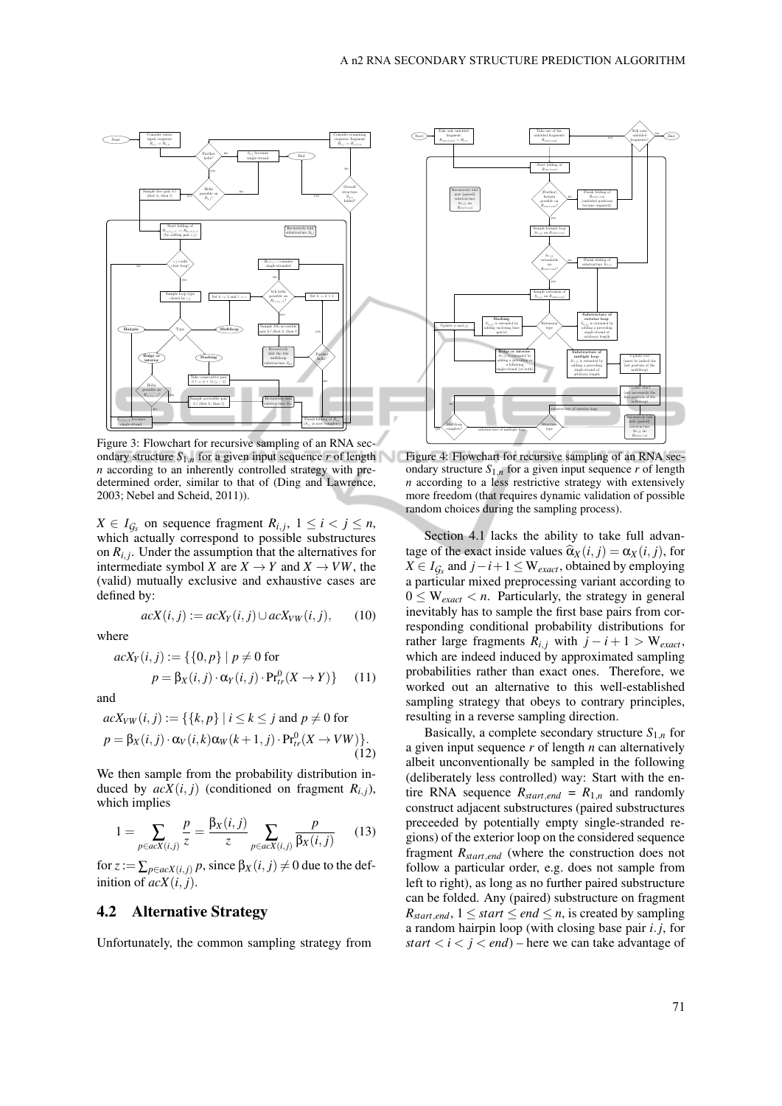

Figure 3: Flowchart for recursive sampling of an RNA secondary structure  $S_{1,n}$  for a given input sequence *r* of length *n* according to an inherently controlled strategy with predetermined order, similar to that of (Ding and Lawrence, 2003; Nebel and Scheid, 2011)).

 $X \in I_{\mathcal{G}_s}$  on sequence fragment  $R_{i,j}$ ,  $1 \leq i < j \leq n$ , which actually correspond to possible substructures on  $R_{i,j}$ . Under the assumption that the alternatives for intermediate symbol *X* are  $X \to Y$  and  $X \to VW$ , the (valid) mutually exclusive and exhaustive cases are defined by:

$$
acX(i,j) := acX_Y(i,j) \cup acX_{VW}(i,j), \qquad (10)
$$

where

$$
acX_Y(i, j) := \{ \{0, p\} \mid p \neq 0 \text{ for } p = \beta_X(i, j) \cdot \alpha_Y(i, j) \cdot \Pr^0_{tr}(X \to Y) \}
$$
 (11)

and

$$
acX_{VW}(i, j) := \{ \{k, p\} \mid i \le k \le j \text{ and } p \neq 0 \text{ for}
$$
  
\n
$$
p = \beta_X(i, j) \cdot \alpha_V(i, k) \alpha_W(k+1, j) \cdot \Pr_{tr}^0(X \to VW) \}.
$$
\n(12)

We then sample from the probability distribution induced by  $acX(i, j)$  (conditioned on fragment  $R_{i,j}$ ), which implies

$$
1 = \sum_{p \in acX(i,j)} \frac{p}{z} = \frac{\beta_X(i,j)}{z} \sum_{p \in acX(i,j)} \frac{p}{\beta_X(i,j)} \tag{13}
$$

for  $z := \sum_{p \in acX(i,j)} p$ , since  $\beta_X(i,j) \neq 0$  due to the definition of  $acX(i, j)$ .

## 4.2 Alternative Strategy

Unfortunately, the common sampling strategy from



Figure 4: Flowchart for recursive sampling of an RNA secondary structure  $S_{1,n}$  for a given input sequence *r* of length *n* according to a less restrictive strategy with extensively more freedom (that requires dynamic validation of possible random choices during the sampling process).

Section 4.1 lacks the ability to take full advantage of the exact inside values  $\hat{\alpha}_X(i, j) = \alpha_X(i, j)$ , for *X* ∈ *I*<sub>*G*</sub><sup>*s*</sup> and *j* − *i* + 1 ≤ W<sub>*exact*</sub>, obtained by employing a particular mixed preprocessing variant according to  $0 \leq W_{exact} < n$ . Particularly, the strategy in general inevitably has to sample the first base pairs from corresponding conditional probability distributions for rather large fragments  $R_{i,j}$  with  $j - i + 1 > W_{exact}$ , which are indeed induced by approximated sampling probabilities rather than exact ones. Therefore, we worked out an alternative to this well-established sampling strategy that obeys to contrary principles, resulting in a reverse sampling direction.

Basically, a complete secondary structure  $S_{1,n}$  for a given input sequence *r* of length *n* can alternatively albeit unconventionally be sampled in the following (deliberately less controlled) way: Start with the entire RNA sequence  $R_{start, end} = R_{1,n}$  and randomly construct adjacent substructures (paired substructures preceeded by potentially empty single-stranded regions) of the exterior loop on the considered sequence fragment *Rstart*,*end* (where the construction does not follow a particular order, e.g. does not sample from left to right), as long as no further paired substructure can be folded. Any (paired) substructure on fragment  $R_{start\ end}$ ,  $1 \leq start \leq end \leq n$ , is created by sampling a random hairpin loop (with closing base pair *i*. *j*, for *start*  $\langle i \rangle$  *i*  $\langle e, id \rangle$  – here we can take advantage of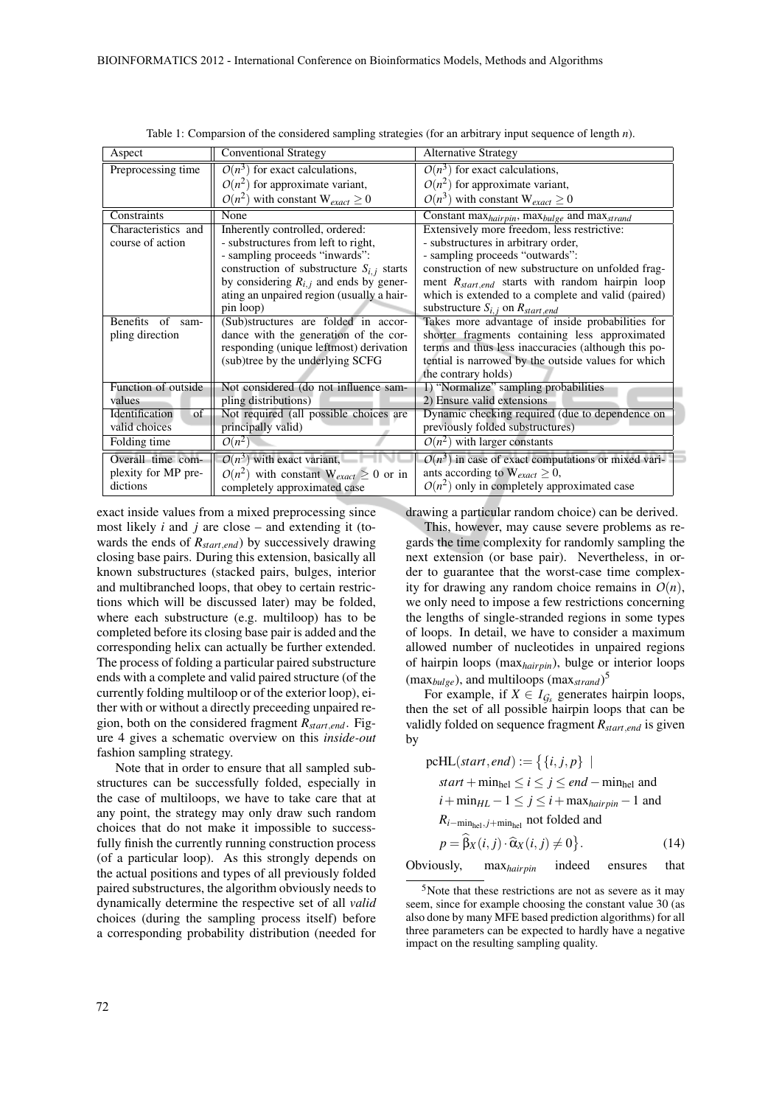| Aspect                     | <b>Conventional Strategy</b>                   | <b>Alternative Strategy</b>                                                      |
|----------------------------|------------------------------------------------|----------------------------------------------------------------------------------|
| Preprocessing time         | $O(n^3)$ for exact calculations,               | $O(n^3)$ for exact calculations,                                                 |
|                            | $O(n^2)$ for approximate variant,              | $O(n^2)$ for approximate variant,                                                |
|                            | $O(n^2)$ with constant $W_{exact} \ge 0$       | $O(n^3)$ with constant $W_{exact} \ge 0$                                         |
| Constraints                | None                                           | Constant max <sub>hairpin</sub> , max <sub>bulge</sub> and max <sub>strand</sub> |
| Characteristics and        | Inherently controlled, ordered:                | Extensively more freedom, less restrictive:                                      |
| course of action           | - substructures from left to right,            | - substructures in arbitrary order,                                              |
|                            | - sampling proceeds "inwards":                 | - sampling proceeds "outwards":                                                  |
|                            | construction of substructure $S_{i,j}$ starts  | construction of new substructure on unfolded frag-                               |
|                            | by considering $R_{i,j}$ and ends by gener-    | ment $R_{start, end}$ starts with random hairpin loop                            |
|                            | ating an unpaired region (usually a hair-      | which is extended to a complete and valid (paired)                               |
|                            | pin loop)                                      | substructure $S_{i,j}$ on $R_{start, end}$                                       |
| Benefits of sam-           | (Sub)structures are folded in accor-           | Takes more advantage of inside probabilities for                                 |
| pling direction            | dance with the generation of the cor-          | shorter fragments containing less approximated                                   |
|                            | responding (unique leftmost) derivation        | terms and thus less inaccuracies (although this po-                              |
|                            | (sub)tree by the underlying SCFG               | tential is narrowed by the outside values for which                              |
|                            |                                                | the contrary holds)                                                              |
| Function of outside        | Not considered (do not influence sam-          | 1) "Normalize" sampling probabilities                                            |
| values                     | pling distributions)                           | 2) Ensure valid extensions                                                       |
| $\sigma$<br>Identification | Not required (all possible choices are         | Dynamic checking required (due to dependence on                                  |
| valid choices              | principally valid)                             | previously folded substructures)                                                 |
| Folding time               | $O(n^2)$                                       | $O(n^2)$ with larger constants                                                   |
| Overall time com-          | $O(n^3)$ with exact variant,                   | $O(n^3)$ in case of exact computations or mixed vari-                            |
| plexity for MP pre-        | $O(n^2)$ with constant $W_{exact} \ge 0$ or in | ants according to $W_{exact} > 0$ ,                                              |
| dictions                   | completely approximated case                   | $O(n^2)$ only in completely approximated case                                    |

Table 1: Comparsion of the considered sampling strategies (for an arbitrary input sequence of length *n*).

exact inside values from a mixed preprocessing since most likely *i* and *j* are close – and extending it (towards the ends of *Rstart*,*end*) by successively drawing closing base pairs. During this extension, basically all known substructures (stacked pairs, bulges, interior and multibranched loops, that obey to certain restrictions which will be discussed later) may be folded, where each substructure (e.g. multiloop) has to be completed before its closing base pair is added and the corresponding helix can actually be further extended. The process of folding a particular paired substructure ends with a complete and valid paired structure (of the currently folding multiloop or of the exterior loop), either with or without a directly preceeding unpaired region, both on the considered fragment *Rstart*,*end*. Figure 4 gives a schematic overview on this *inside-out* fashion sampling strategy.

Note that in order to ensure that all sampled substructures can be successfully folded, especially in the case of multiloops, we have to take care that at any point, the strategy may only draw such random choices that do not make it impossible to successfully finish the currently running construction process (of a particular loop). As this strongly depends on the actual positions and types of all previously folded paired substructures, the algorithm obviously needs to dynamically determine the respective set of all *valid* choices (during the sampling process itself) before a corresponding probability distribution (needed for

drawing a particular random choice) can be derived.

This, however, may cause severe problems as regards the time complexity for randomly sampling the next extension (or base pair). Nevertheless, in order to guarantee that the worst-case time complexity for drawing any random choice remains in  $O(n)$ , we only need to impose a few restrictions concerning the lengths of single-stranded regions in some types of loops. In detail, we have to consider a maximum allowed number of nucleotides in unpaired regions of hairpin loops (max*hairpin*), bulge or interior loops  $(\text{max}_{bulge})$ , and multiloops  $(\text{max}_{strand})^5$ 

For example, if  $X \in I_{\mathcal{G}_s}$  generates hairpin loops, then the set of all possible hairpin loops that can be validly folded on sequence fragment *Rstart*,*end* is given by

$$
\text{pcHL}(start, end) := \{ \{i, j, p \} \mid
$$
\n
$$
start + \min_{hel} \le i \le j \le end - \min_{hel} \text{ and}
$$
\n
$$
i + \min_{HL} - 1 \le j \le i + \max_{hairpin} - 1 \text{ and}
$$
\n
$$
R_{i - \min_{hel}, j + \min_{hel}} \text{ not folded and}
$$
\n
$$
p = \widehat{\beta}_X(i, j) \cdot \widehat{\alpha}_X(i, j) \ne 0 \}.
$$
\n(14)

Obviously, max*hairpin* indeed ensures that

 $5$ Note that these restrictions are not as severe as it may seem, since for example choosing the constant value 30 (as also done by many MFE based prediction algorithms) for all three parameters can be expected to hardly have a negative impact on the resulting sampling quality.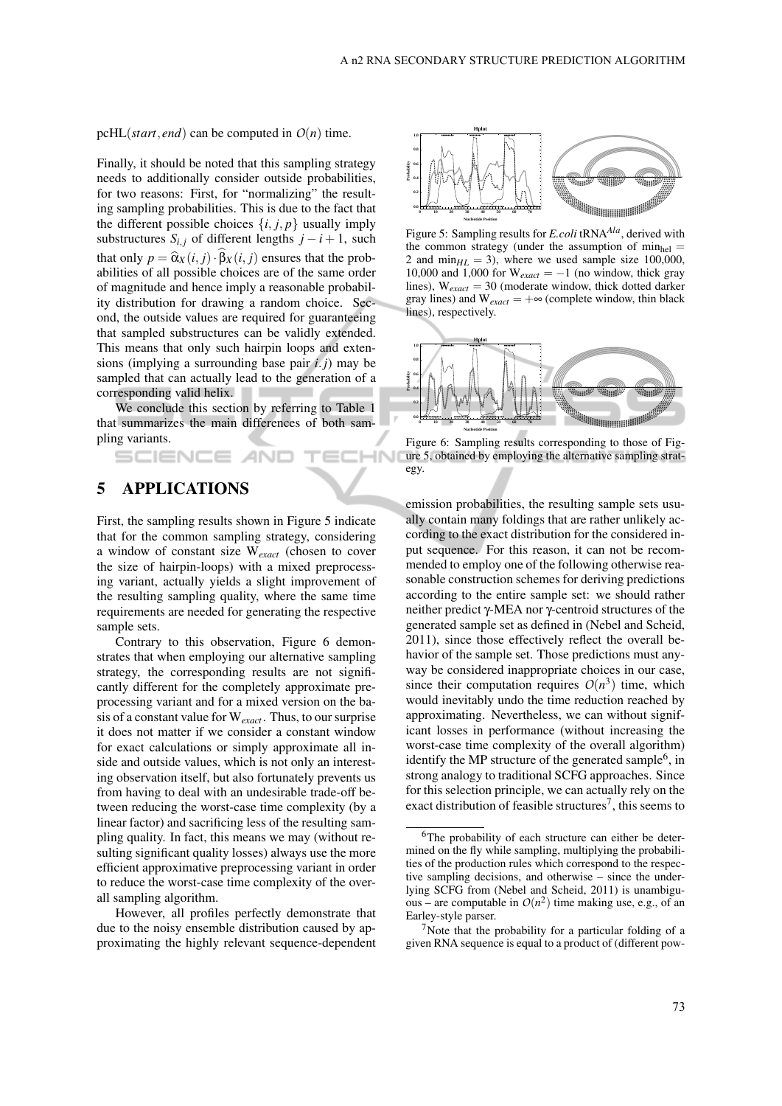#### pcHL(*start*, *end*) can be computed in  $O(n)$  time.

Finally, it should be noted that this sampling strategy needs to additionally consider outside probabilities, for two reasons: First, for "normalizing" the resulting sampling probabilities. This is due to the fact that the different possible choices  $\{i, j, p\}$  usually imply substructures  $S_{i,j}$  of different lengths  $j - i + 1$ , such that only  $p = \hat{\alpha}_X(i, j) \cdot \beta_X(i, j)$  ensures that the prob-<br>abilities of all possible choices are of the same order abilities of all possible choices are of the same order of magnitude and hence imply a reasonable probability distribution for drawing a random choice. Second, the outside values are required for guaranteeing that sampled substructures can be validly extended. This means that only such hairpin loops and extensions (implying a surrounding base pair *i*. *j*) may be sampled that can actually lead to the generation of a corresponding valid helix. 

We conclude this section by referring to Table 1 that summarizes the main differences of both sampling variants.

-IN

## 5 APPLICATIONS

SCIENC

First, the sampling results shown in Figure 5 indicate that for the common sampling strategy, considering a window of constant size W*exact* (chosen to cover the size of hairpin-loops) with a mixed preprocessing variant, actually yields a slight improvement of the resulting sampling quality, where the same time requirements are needed for generating the respective sample sets.

Contrary to this observation, Figure 6 demonstrates that when employing our alternative sampling strategy, the corresponding results are not significantly different for the completely approximate preprocessing variant and for a mixed version on the basis of a constant value for W*exact*. Thus, to our surprise it does not matter if we consider a constant window for exact calculations or simply approximate all inside and outside values, which is not only an interesting observation itself, but also fortunately prevents us from having to deal with an undesirable trade-off between reducing the worst-case time complexity (by a linear factor) and sacrificing less of the resulting sampling quality. In fact, this means we may (without resulting significant quality losses) always use the more efficient approximative preprocessing variant in order to reduce the worst-case time complexity of the overall sampling algorithm.

However, all profiles perfectly demonstrate that due to the noisy ensemble distribution caused by approximating the highly relevant sequence-dependent



Figure 5: Sampling results for *E.coli* tRNA*Ala*, derived with the common strategy (under the assumption of  $\min_{h \in \mathbb{R}}$ 2 and  $\min_{HL}$  = 3), where we used sample size 100,000, 10,000 and 1,000 for  $W_{exact} = -1$  (no window, thick gray lines), W*exact* = 30 (moderate window, thick dotted darker gray lines) and  $W_{exact} = +\infty$  (complete window, thin black lines), respectively.



Figure 6: Sampling results corresponding to those of Figure 5, obtained by employing the alternative sampling strategy.

emission probabilities, the resulting sample sets usually contain many foldings that are rather unlikely according to the exact distribution for the considered input sequence. For this reason, it can not be recommended to employ one of the following otherwise reasonable construction schemes for deriving predictions according to the entire sample set: we should rather neither predict γ-MEA nor γ-centroid structures of the generated sample set as defined in (Nebel and Scheid, 2011), since those effectively reflect the overall behavior of the sample set. Those predictions must anyway be considered inappropriate choices in our case, since their computation requires  $O(n^3)$  time, which would inevitably undo the time reduction reached by approximating. Nevertheless, we can without significant losses in performance (without increasing the worst-case time complexity of the overall algorithm) identify the MP structure of the generated sample<sup>6</sup>, in strong analogy to traditional SCFG approaches. Since for this selection principle, we can actually rely on the exact distribution of feasible structures<sup>7</sup>, this seems to

<sup>&</sup>lt;sup>6</sup>The probability of each structure can either be determined on the fly while sampling, multiplying the probabilities of the production rules which correspond to the respective sampling decisions, and otherwise – since the underlying SCFG from (Nebel and Scheid, 2011) is unambigu- $\cos$  – are computable in  $O(n^2)$  time making use, e.g., of an Earley-style parser.

<sup>&</sup>lt;sup>7</sup>Note that the probability for a particular folding of a given RNA sequence is equal to a product of (different pow-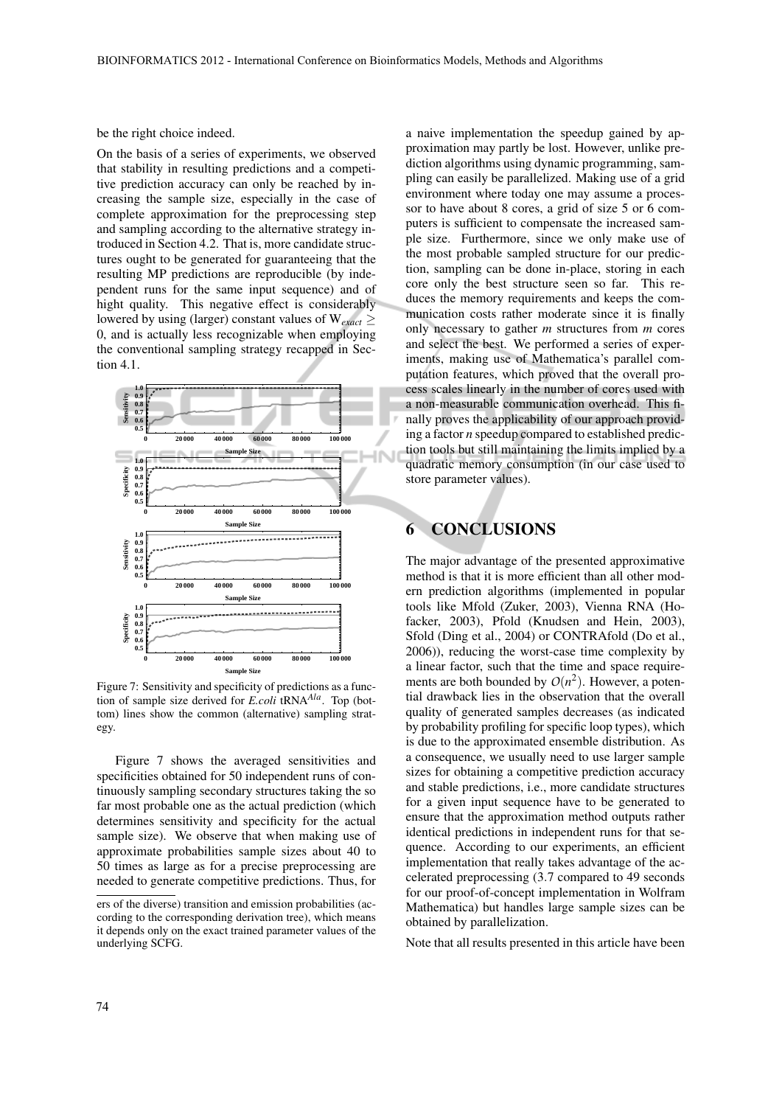be the right choice indeed.

On the basis of a series of experiments, we observed that stability in resulting predictions and a competitive prediction accuracy can only be reached by increasing the sample size, especially in the case of complete approximation for the preprocessing step and sampling according to the alternative strategy introduced in Section 4.2. That is, more candidate structures ought to be generated for guaranteeing that the resulting MP predictions are reproducible (by independent runs for the same input sequence) and of hight quality. This negative effect is considerably lowered by using (larger) constant values of  $W_{exact} \ge$ 0, and is actually less recognizable when employing the conventional sampling strategy recapped in Section 4.1.



Figure 7: Sensitivity and specificity of predictions as a function of sample size derived for *E.coli* tRNA*Ala*. Top (bottom) lines show the common (alternative) sampling strategy.

Figure 7 shows the averaged sensitivities and specificities obtained for 50 independent runs of continuously sampling secondary structures taking the so far most probable one as the actual prediction (which determines sensitivity and specificity for the actual sample size). We observe that when making use of approximate probabilities sample sizes about 40 to 50 times as large as for a precise preprocessing are needed to generate competitive predictions. Thus, for

a naive implementation the speedup gained by approximation may partly be lost. However, unlike prediction algorithms using dynamic programming, sampling can easily be parallelized. Making use of a grid environment where today one may assume a processor to have about 8 cores, a grid of size 5 or 6 computers is sufficient to compensate the increased sample size. Furthermore, since we only make use of the most probable sampled structure for our prediction, sampling can be done in-place, storing in each core only the best structure seen so far. This reduces the memory requirements and keeps the communication costs rather moderate since it is finally only necessary to gather *m* structures from *m* cores and select the best. We performed a series of experiments, making use of Mathematica's parallel computation features, which proved that the overall process scales linearly in the number of cores used with a non-measurable communication overhead. This finally proves the applicability of our approach providing a factor *n* speedup compared to established prediction tools but still maintaining the limits implied by a quadratic memory consumption (in our case used to store parameter values).

# 6 CONCLUSIONS

The major advantage of the presented approximative method is that it is more efficient than all other modern prediction algorithms (implemented in popular tools like Mfold (Zuker, 2003), Vienna RNA (Hofacker, 2003), Pfold (Knudsen and Hein, 2003), Sfold (Ding et al., 2004) or CONTRAfold (Do et al., 2006)), reducing the worst-case time complexity by a linear factor, such that the time and space requirements are both bounded by  $O(n^2)$ . However, a potential drawback lies in the observation that the overall quality of generated samples decreases (as indicated by probability profiling for specific loop types), which is due to the approximated ensemble distribution. As a consequence, we usually need to use larger sample sizes for obtaining a competitive prediction accuracy and stable predictions, i.e., more candidate structures for a given input sequence have to be generated to ensure that the approximation method outputs rather identical predictions in independent runs for that sequence. According to our experiments, an efficient implementation that really takes advantage of the accelerated preprocessing (3.7 compared to 49 seconds for our proof-of-concept implementation in Wolfram Mathematica) but handles large sample sizes can be obtained by parallelization.

Note that all results presented in this article have been

ers of the diverse) transition and emission probabilities (according to the corresponding derivation tree), which means it depends only on the exact trained parameter values of the underlying SCFG.